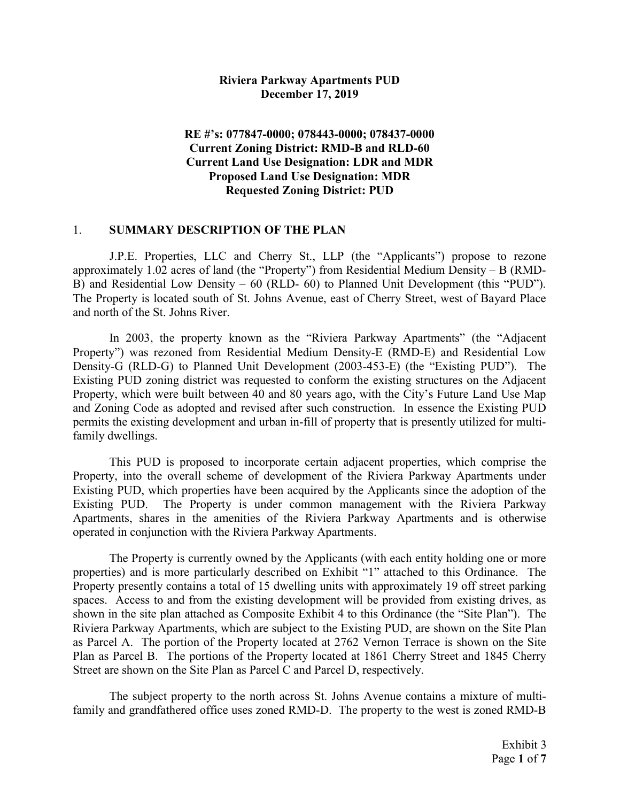#### Riviera Parkway Apartments PUD December 17, 2019

### RE #'s: 077847-0000; 078443-0000; 078437-0000 Current Zoning District: RMD-B and RLD-60 Current Land Use Designation: LDR and MDR Proposed Land Use Designation: MDR Requested Zoning District: PUD

#### 1. SUMMARY DESCRIPTION OF THE PLAN

J.P.E. Properties, LLC and Cherry St., LLP (the "Applicants") propose to rezone approximately 1.02 acres of land (the "Property") from Residential Medium Density – B (RMD-B) and Residential Low Density – 60 (RLD- 60) to Planned Unit Development (this "PUD"). The Property is located south of St. Johns Avenue, east of Cherry Street, west of Bayard Place and north of the St. Johns River.

In 2003, the property known as the "Riviera Parkway Apartments" (the "Adjacent Property") was rezoned from Residential Medium Density-E (RMD-E) and Residential Low Density-G (RLD-G) to Planned Unit Development (2003-453-E) (the "Existing PUD"). The Existing PUD zoning district was requested to conform the existing structures on the Adjacent Property, which were built between 40 and 80 years ago, with the City's Future Land Use Map and Zoning Code as adopted and revised after such construction. In essence the Existing PUD permits the existing development and urban in-fill of property that is presently utilized for multifamily dwellings.

This PUD is proposed to incorporate certain adjacent properties, which comprise the Property, into the overall scheme of development of the Riviera Parkway Apartments under Existing PUD, which properties have been acquired by the Applicants since the adoption of the Existing PUD. The Property is under common management with the Riviera Parkway Apartments, shares in the amenities of the Riviera Parkway Apartments and is otherwise operated in conjunction with the Riviera Parkway Apartments.

The Property is currently owned by the Applicants (with each entity holding one or more properties) and is more particularly described on Exhibit "1" attached to this Ordinance. The Property presently contains a total of 15 dwelling units with approximately 19 off street parking spaces. Access to and from the existing development will be provided from existing drives, as shown in the site plan attached as Composite Exhibit 4 to this Ordinance (the "Site Plan"). The Riviera Parkway Apartments, which are subject to the Existing PUD, are shown on the Site Plan as Parcel A. The portion of the Property located at 2762 Vernon Terrace is shown on the Site Plan as Parcel B. The portions of the Property located at 1861 Cherry Street and 1845 Cherry Street are shown on the Site Plan as Parcel C and Parcel D, respectively.

The subject property to the north across St. Johns Avenue contains a mixture of multifamily and grandfathered office uses zoned RMD-D. The property to the west is zoned RMD-B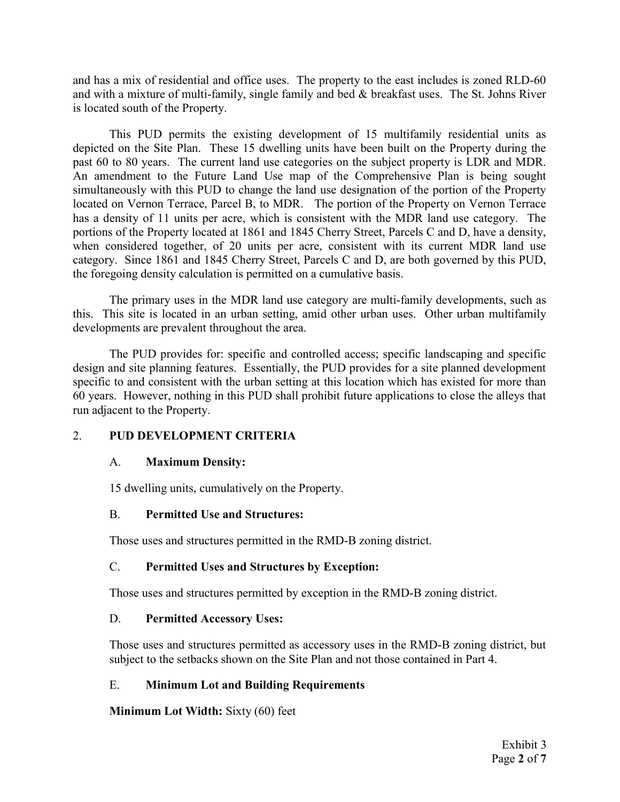and has a mix of residential and office uses. The property to the east includes is zoned RLD-60 and with a mixture of multi-family, single family and bed & breakfast uses. The St. Johns River is located south of the Property.

This PUD permits the existing development of 15 multifamily residential units as depicted on the Site Plan. These 15 dwelling units have been built on the Property during the past 60 to 80 years. The current land use categories on the subject property is LDR and MDR. An amendment to the Future Land Use map of the Comprehensive Plan is being sought simultaneously with this PUD to change the land use designation of the portion of the Property located on Vernon Terrace, Parcel B, to MDR. The portion of the Property on Vernon Terrace has a density of 11 units per acre, which is consistent with the MDR land use category. The portions of the Property located at 1861 and 1845 Cherry Street, Parcels C and D, have a density, when considered together, of 20 units per acre, consistent with its current MDR land use category. Since 1861 and 1845 Cherry Street, Parcels C and D, are both governed by this PUD, the foregoing density calculation is permitted on a cumulative basis.

The primary uses in the MDR land use category are multi-family developments, such as this. This site is located in an urban setting, amid other urban uses. Other urban multifamily developments are prevalent throughout the area.

The PUD provides for: specific and controlled access; specific landscaping and specific design and site planning features. Essentially, the PUD provides for a site planned development specific to and consistent with the urban setting at this location which has existed for more than 60 years. However, nothing in this PUD shall prohibit future applications to close the alleys that run adjacent to the Property.

### 2. PUD DEVELOPMENT CRITERIA

### A. Maximum Density:

15 dwelling units, cumulatively on the Property.

# B. Permitted Use and Structures:

Those uses and structures permitted in the RMD-B zoning district.

# C. Permitted Uses and Structures by Exception:

Those uses and structures permitted by exception in the RMD-B zoning district.

# D. Permitted Accessory Uses:

Those uses and structures permitted as accessory uses in the RMD-B zoning district, but subject to the setbacks shown on the Site Plan and not those contained in Part 4.

# E. Minimum Lot and Building Requirements

Minimum Lot Width: Sixty (60) feet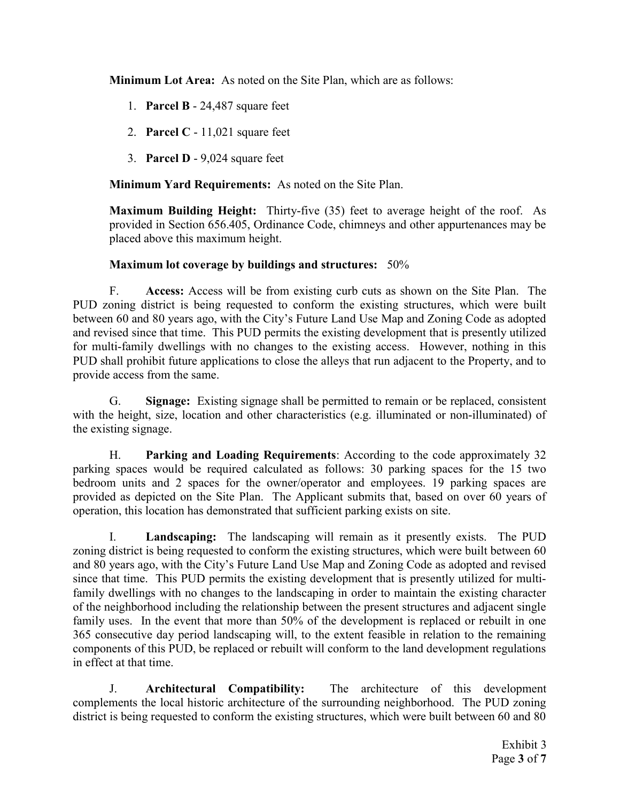Minimum Lot Area: As noted on the Site Plan, which are as follows:

- 1. Parcel B 24,487 square feet
- 2. Parcel C 11,021 square feet
- 3. Parcel D 9,024 square feet

Minimum Yard Requirements: As noted on the Site Plan.

Maximum Building Height: Thirty-five (35) feet to average height of the roof. As provided in Section 656.405, Ordinance Code, chimneys and other appurtenances may be placed above this maximum height.

### Maximum lot coverage by buildings and structures: 50%

F. Access: Access will be from existing curb cuts as shown on the Site Plan. The PUD zoning district is being requested to conform the existing structures, which were built between 60 and 80 years ago, with the City's Future Land Use Map and Zoning Code as adopted and revised since that time. This PUD permits the existing development that is presently utilized for multi-family dwellings with no changes to the existing access. However, nothing in this PUD shall prohibit future applications to close the alleys that run adjacent to the Property, and to provide access from the same.

G. Signage: Existing signage shall be permitted to remain or be replaced, consistent with the height, size, location and other characteristics (e.g. illuminated or non-illuminated) of the existing signage.

H. Parking and Loading Requirements: According to the code approximately 32 parking spaces would be required calculated as follows: 30 parking spaces for the 15 two bedroom units and 2 spaces for the owner/operator and employees. 19 parking spaces are provided as depicted on the Site Plan. The Applicant submits that, based on over 60 years of operation, this location has demonstrated that sufficient parking exists on site.

I. Landscaping: The landscaping will remain as it presently exists. The PUD zoning district is being requested to conform the existing structures, which were built between 60 and 80 years ago, with the City's Future Land Use Map and Zoning Code as adopted and revised since that time. This PUD permits the existing development that is presently utilized for multifamily dwellings with no changes to the landscaping in order to maintain the existing character of the neighborhood including the relationship between the present structures and adjacent single family uses. In the event that more than 50% of the development is replaced or rebuilt in one 365 consecutive day period landscaping will, to the extent feasible in relation to the remaining components of this PUD, be replaced or rebuilt will conform to the land development regulations in effect at that time.

J. Architectural Compatibility: The architecture of this development complements the local historic architecture of the surrounding neighborhood. The PUD zoning district is being requested to conform the existing structures, which were built between 60 and 80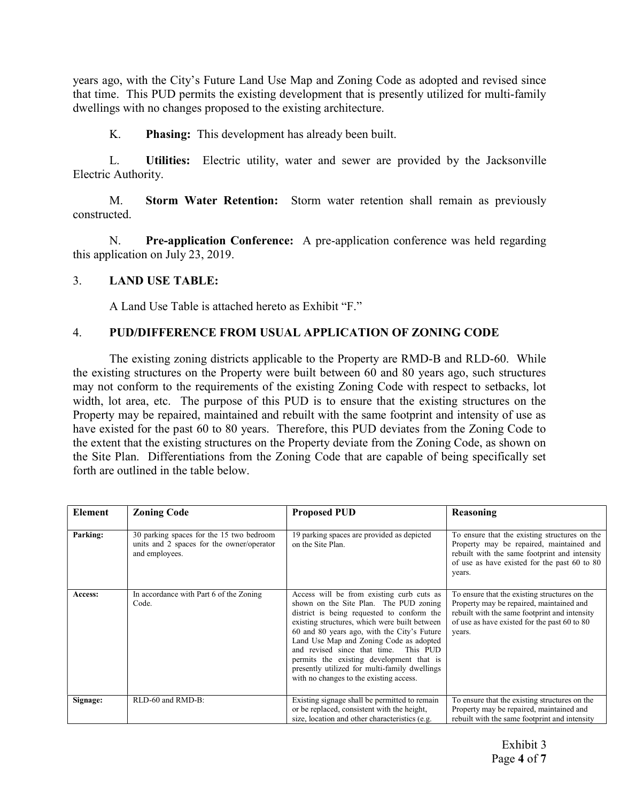years ago, with the City's Future Land Use Map and Zoning Code as adopted and revised since that time. This PUD permits the existing development that is presently utilized for multi-family dwellings with no changes proposed to the existing architecture.

K. Phasing: This development has already been built.

L. Utilities: Electric utility, water and sewer are provided by the Jacksonville Electric Authority.

M. Storm Water Retention: Storm water retention shall remain as previously constructed.

N. Pre-application Conference: A pre-application conference was held regarding this application on July 23, 2019.

#### 3. LAND USE TABLE:

A Land Use Table is attached hereto as Exhibit "F."

#### 4. PUD/DIFFERENCE FROM USUAL APPLICATION OF ZONING CODE

The existing zoning districts applicable to the Property are RMD-B and RLD-60. While the existing structures on the Property were built between 60 and 80 years ago, such structures may not conform to the requirements of the existing Zoning Code with respect to setbacks, lot width, lot area, etc. The purpose of this PUD is to ensure that the existing structures on the Property may be repaired, maintained and rebuilt with the same footprint and intensity of use as have existed for the past 60 to 80 years. Therefore, this PUD deviates from the Zoning Code to the extent that the existing structures on the Property deviate from the Zoning Code, as shown on the Site Plan. Differentiations from the Zoning Code that are capable of being specifically set forth are outlined in the table below.

| Element  | <b>Zoning Code</b>                                                                                      | <b>Proposed PUD</b>                                                                                                                                                                                                                                                                                                                                                                                                                                           | Reasoning                                                                                                                                                                                            |
|----------|---------------------------------------------------------------------------------------------------------|---------------------------------------------------------------------------------------------------------------------------------------------------------------------------------------------------------------------------------------------------------------------------------------------------------------------------------------------------------------------------------------------------------------------------------------------------------------|------------------------------------------------------------------------------------------------------------------------------------------------------------------------------------------------------|
| Parking: | 30 parking spaces for the 15 two bedroom<br>units and 2 spaces for the owner/operator<br>and employees. | 19 parking spaces are provided as depicted<br>on the Site Plan.                                                                                                                                                                                                                                                                                                                                                                                               | To ensure that the existing structures on the<br>Property may be repaired, maintained and<br>rebuilt with the same footprint and intensity<br>of use as have existed for the past 60 to 80<br>years. |
| Access:  | In accordance with Part 6 of the Zoning<br>Code.                                                        | Access will be from existing curb cuts as<br>shown on the Site Plan. The PUD zoning<br>district is being requested to conform the<br>existing structures, which were built between<br>60 and 80 years ago, with the City's Future<br>Land Use Map and Zoning Code as adopted<br>and revised since that time. This PUD<br>permits the existing development that is<br>presently utilized for multi-family dwellings<br>with no changes to the existing access. | To ensure that the existing structures on the<br>Property may be repaired, maintained and<br>rebuilt with the same footprint and intensity<br>of use as have existed for the past 60 to 80<br>years. |
| Signage: | RLD-60 and RMD-B:                                                                                       | Existing signage shall be permitted to remain<br>or be replaced, consistent with the height,<br>size, location and other characteristics (e.g.                                                                                                                                                                                                                                                                                                                | To ensure that the existing structures on the<br>Property may be repaired, maintained and<br>rebuilt with the same footprint and intensity                                                           |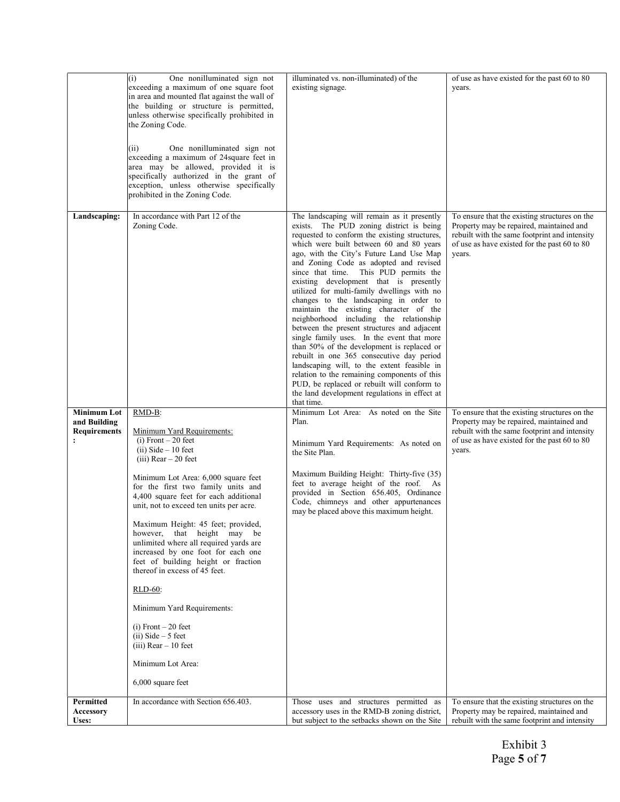|                                                                             | One nonilluminated sign not<br>(i)<br>exceeding a maximum of one square foot<br>in area and mounted flat against the wall of<br>the building or structure is permitted,<br>unless otherwise specifically prohibited in<br>the Zoning Code.<br>One nonilluminated sign not<br>(ii)<br>exceeding a maximum of 24 square feet in<br>area may be allowed, provided it is<br>specifically authorized in the grant of<br>exception, unless otherwise specifically<br>prohibited in the Zoning Code.                                                                                                                                                                                           | illuminated vs. non-illuminated) of the<br>existing signage.                                                                                                                                                                                                                                                                                                                                                                                                                                                                                                                                                                                                                                                                                                                                                                                                                                                                                     | of use as have existed for the past 60 to 80<br>years.                                                                                                                                               |
|-----------------------------------------------------------------------------|-----------------------------------------------------------------------------------------------------------------------------------------------------------------------------------------------------------------------------------------------------------------------------------------------------------------------------------------------------------------------------------------------------------------------------------------------------------------------------------------------------------------------------------------------------------------------------------------------------------------------------------------------------------------------------------------|--------------------------------------------------------------------------------------------------------------------------------------------------------------------------------------------------------------------------------------------------------------------------------------------------------------------------------------------------------------------------------------------------------------------------------------------------------------------------------------------------------------------------------------------------------------------------------------------------------------------------------------------------------------------------------------------------------------------------------------------------------------------------------------------------------------------------------------------------------------------------------------------------------------------------------------------------|------------------------------------------------------------------------------------------------------------------------------------------------------------------------------------------------------|
| Landscaping:                                                                | In accordance with Part 12 of the<br>Zoning Code.                                                                                                                                                                                                                                                                                                                                                                                                                                                                                                                                                                                                                                       | The landscaping will remain as it presently<br>exists. The PUD zoning district is being<br>requested to conform the existing structures,<br>which were built between 60 and 80 years<br>ago, with the City's Future Land Use Map<br>and Zoning Code as adopted and revised<br>since that time. This PUD permits the<br>existing development that is presently<br>utilized for multi-family dwellings with no<br>changes to the landscaping in order to<br>maintain the existing character of the<br>neighborhood including the relationship<br>between the present structures and adjacent<br>single family uses. In the event that more<br>than 50% of the development is replaced or<br>rebuilt in one 365 consecutive day period<br>landscaping will, to the extent feasible in<br>relation to the remaining components of this<br>PUD, be replaced or rebuilt will conform to<br>the land development regulations in effect at<br>that time. | To ensure that the existing structures on the<br>Property may be repaired, maintained and<br>rebuilt with the same footprint and intensity<br>of use as have existed for the past 60 to 80<br>years. |
| <b>Minimum Lot</b><br>and Building<br><b>Requirements</b><br>$\ddot{\cdot}$ | RMD-B:<br>Minimum Yard Requirements:<br>$(i)$ Front $-20$ feet<br>$(ii) Side - 10 feet$<br>$(iii)$ Rear $-20$ feet<br>Minimum Lot Area: 6,000 square feet<br>for the first two family units and<br>4,400 square feet for each additional<br>unit, not to exceed ten units per acre.<br>Maximum Height: 45 feet; provided,<br>however, that height may be<br>unlimited where all required yards are<br>increased by one foot for each one<br>feet of building height or fraction<br>thereof in excess of 45 feet.<br><b>RLD-60:</b><br>Minimum Yard Requirements:<br>$(i)$ Front $-20$ feet<br>$(ii) Side - 5 feet$<br>$(iii)$ Rear $-10$ feet<br>Minimum Lot Area:<br>6,000 square feet | Minimum Lot Area: As noted on the Site<br>Plan.<br>Minimum Yard Requirements: As noted on<br>the Site Plan.<br>Maximum Building Height: Thirty-five (35)<br>feet to average height of the roof. As<br>provided in Section 656.405, Ordinance<br>Code, chimneys and other appurtenances<br>may be placed above this maximum height.                                                                                                                                                                                                                                                                                                                                                                                                                                                                                                                                                                                                               | To ensure that the existing structures on the<br>Property may be repaired, maintained and<br>rebuilt with the same footprint and intensity<br>of use as have existed for the past 60 to 80<br>years. |
| Permitted<br>Accessory<br>Uses:                                             | In accordance with Section 656.403.                                                                                                                                                                                                                                                                                                                                                                                                                                                                                                                                                                                                                                                     | Those uses and structures permitted as<br>accessory uses in the RMD-B zoning district,<br>but subject to the setbacks shown on the Site                                                                                                                                                                                                                                                                                                                                                                                                                                                                                                                                                                                                                                                                                                                                                                                                          | To ensure that the existing structures on the<br>Property may be repaired, maintained and<br>rebuilt with the same footprint and intensity                                                           |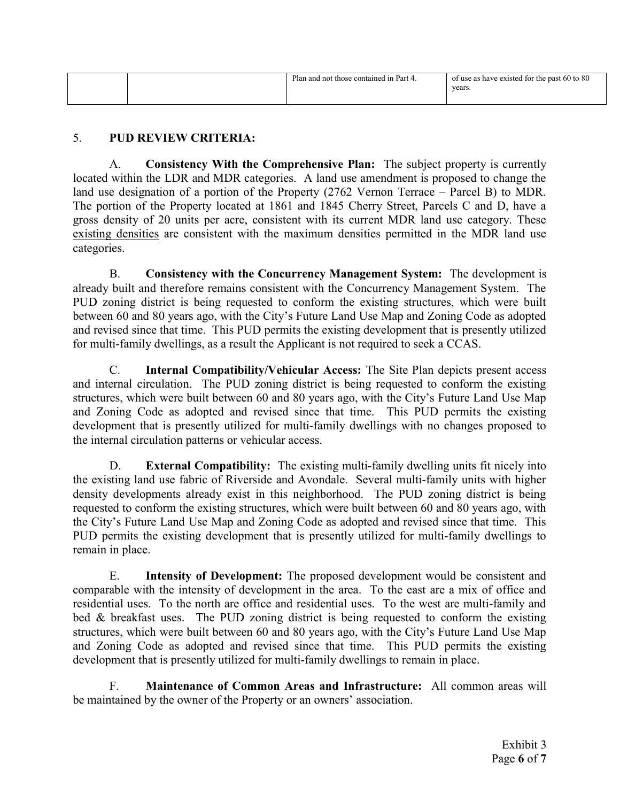|  | Plan and not those contained in Part 4. | of use as have existed for the past 60 to 80<br>years. |
|--|-----------------------------------------|--------------------------------------------------------|
|  |                                         |                                                        |

### 5. PUD REVIEW CRITERIA:

A. Consistency With the Comprehensive Plan: The subject property is currently located within the LDR and MDR categories. A land use amendment is proposed to change the land use designation of a portion of the Property (2762 Vernon Terrace – Parcel B) to MDR. The portion of the Property located at 1861 and 1845 Cherry Street, Parcels C and D, have a gross density of 20 units per acre, consistent with its current MDR land use category. These existing densities are consistent with the maximum densities permitted in the MDR land use categories.

B. Consistency with the Concurrency Management System: The development is already built and therefore remains consistent with the Concurrency Management System. The PUD zoning district is being requested to conform the existing structures, which were built between 60 and 80 years ago, with the City's Future Land Use Map and Zoning Code as adopted and revised since that time. This PUD permits the existing development that is presently utilized for multi-family dwellings, as a result the Applicant is not required to seek a CCAS.

C. Internal Compatibility/Vehicular Access: The Site Plan depicts present access and internal circulation. The PUD zoning district is being requested to conform the existing structures, which were built between 60 and 80 years ago, with the City's Future Land Use Map and Zoning Code as adopted and revised since that time. This PUD permits the existing development that is presently utilized for multi-family dwellings with no changes proposed to the internal circulation patterns or vehicular access.

D. External Compatibility: The existing multi-family dwelling units fit nicely into the existing land use fabric of Riverside and Avondale. Several multi-family units with higher density developments already exist in this neighborhood. The PUD zoning district is being requested to conform the existing structures, which were built between 60 and 80 years ago, with the City's Future Land Use Map and Zoning Code as adopted and revised since that time. This PUD permits the existing development that is presently utilized for multi-family dwellings to remain in place.

E. Intensity of Development: The proposed development would be consistent and comparable with the intensity of development in the area. To the east are a mix of office and residential uses. To the north are office and residential uses. To the west are multi-family and bed & breakfast uses. The PUD zoning district is being requested to conform the existing structures, which were built between 60 and 80 years ago, with the City's Future Land Use Map and Zoning Code as adopted and revised since that time. This PUD permits the existing development that is presently utilized for multi-family dwellings to remain in place.

F. Maintenance of Common Areas and Infrastructure: All common areas will be maintained by the owner of the Property or an owners' association.